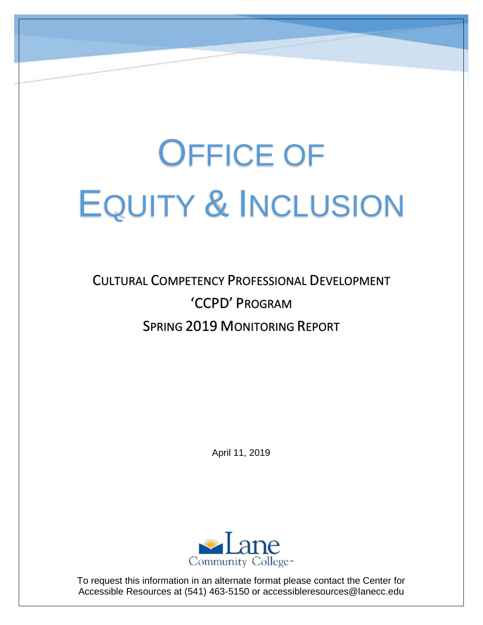# OFFICE OF EQUITY & INCLUSION

## CULTURAL COMPETENCY PROFESSIONAL DEVELOPMENT 'CCPD' PROGRAM SPRING 2019 MONITORING REPORT

April 11, 2019



 To request this information in an alternate format please contact the Center for Accessible Resources at (541) 463-5150 or [accessibleresources@lanecc.edu](mailto:accessibleresources@lanecc.edu)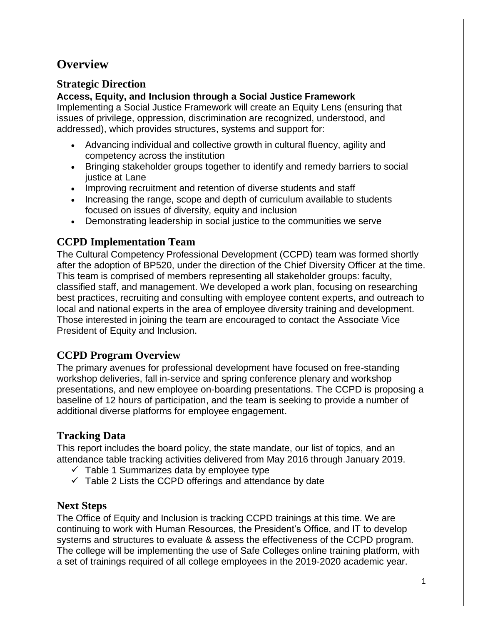#### **Overview**

#### **Strategic Direction**

#### **Access, Equity, and Inclusion through a Social Justice Framework**

 Implementing a Social Justice Framework will create an Equity Lens (ensuring that issues of privilege, oppression, discrimination are recognized, understood, and addressed), which provides structures, systems and support for:

- Advancing individual and collective growth in cultural fluency, agility and competency across the institution
- Bringing stakeholder groups together to identify and remedy barriers to social justice at Lane
- Improving recruitment and retention of diverse students and staff
- Increasing the range, scope and depth of curriculum available to students focused on issues of diversity, equity and inclusion
- Demonstrating leadership in social justice to the communities we serve

#### **CCPD Implementation Team**

 The Cultural Competency Professional Development (CCPD) team was formed shortly after the adoption of BP520, under the direction of the Chief Diversity Officer at the time. This team is comprised of members representing all stakeholder groups: faculty, classified staff, and management. We developed a work plan, focusing on researching best practices, recruiting and consulting with employee content experts, and outreach to local and national experts in the area of employee diversity training and development. Those interested in joining the team are encouraged to contact the Associate Vice President of Equity and Inclusion.

#### **CCPD Program Overview**

 The primary avenues for professional development have focused on free-standing workshop deliveries, fall in-service and spring conference plenary and workshop presentations, and new employee on-boarding presentations. The CCPD is proposing a baseline of 12 hours of participation, and the team is seeking to provide a number of additional diverse platforms for employee engagement.

#### **Tracking Data**

 This report includes the board policy, the state mandate, our list of topics, and an attendance table tracking activities delivered from May 2016 through January 2019.

- $\checkmark$  Table 1 Summarizes data by employee type
- $\checkmark$  Table 2 Lists the CCPD offerings and attendance by date

#### **Next Steps**

 The Office of Equity and Inclusion is tracking CCPD trainings at this time. We are continuing to work with Human Resources, the President's Office, and IT to develop systems and structures to evaluate & assess the effectiveness of the CCPD program. The college will be implementing the use of Safe Colleges online training platform, with a set of trainings required of all college employees in the 2019-2020 academic year.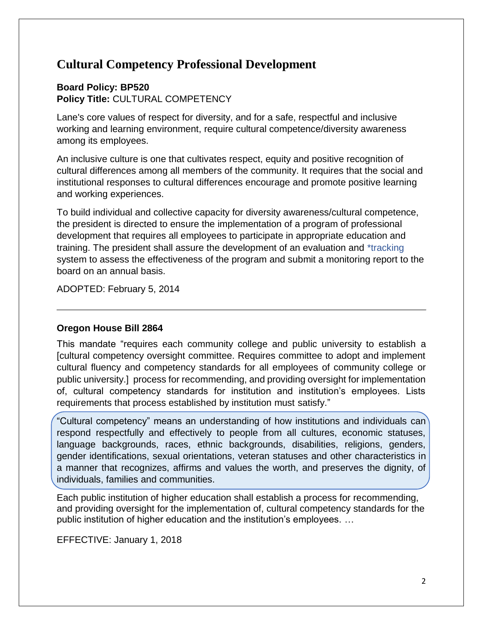#### **Cultural Competency Professional Development**

#### **Board Policy: BP520 Policy Title:** CULTURAL COMPETENCY

 Lane's core values of respect for diversity, and for a safe, respectful and inclusive working and learning environment, require cultural competence/diversity awareness among its employees.

 An inclusive culture is one that cultivates respect, equity and positive recognition of cultural differences among all members of the community. It requires that the social and institutional responses to cultural differences encourage and promote positive learning and working experiences.

 To build individual and collective capacity for diversity awareness/cultural competence, the president is directed to ensure the implementation of a program of professional development that requires all employees to participate in appropriate education and training. The president shall assure the development of an evaluation and \*tracking system to assess the effectiveness of the program and submit a monitoring report to the board on an annual basis.

ADOPTED: February 5, 2014

#### **Oregon House Bill 2864**

 This mandate "requires each community college and public university to establish a [cultural competency oversight committee. Requires committee to adopt and implement cultural fluency and competency standards for all employees of community college or public university.] process for recommending, and providing oversight for implementation of, cultural competency standards for institution and institution's employees. Lists requirements that process established by institution must satisfy."

 "Cultural competency" means an understanding of how institutions and individuals can respond respectfully and effectively to people from all cultures, economic statuses, language backgrounds, races, ethnic backgrounds, disabilities, religions, genders, gender identifications, sexual orientations, veteran statuses and other characteristics in a manner that recognizes, affirms and values the worth, and preserves the dignity, of individuals, families and communities.

 Each public institution of higher education shall establish a process for recommending, and providing oversight for the implementation of, cultural competency standards for the public institution of higher education and the institution's employees. …

EFFECTIVE: January 1, 2018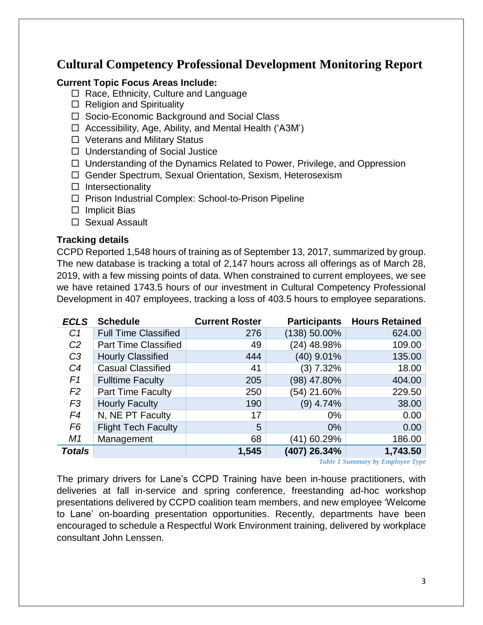#### **Cultural Competency Professional Development Monitoring Report**

#### **Current Topic Focus Areas Include:**

- $\Box$  Race, Ethnicity, Culture and Language
- $\Box$  Religion and Spirituality
- □ Socio-Economic Background and Social Class
- □ Accessibility, Age, Ability, and Mental Health ('A3M')
- □ Veterans and Military Status
- □ Understanding of Social Justice
- □ Understanding of the Dynamics Related to Power, Privilege, and Oppression
- Gender Spectrum, Sexual Orientation, Sexism, Heterosexism
- $\square$  Intersectionality
- □ Prison Industrial Complex: School-to-Prison Pipeline
- $\Box$  Implicit Bias
- □ Sexual Assault

#### **Tracking details**

 CCPD Reported 1,548 hours of training as of September 13, 2017, summarized by group. The new database is tracking a total of 2,147 hours across all offerings as of March 28, 2019, with a few missing points of data. When constrained to current employees, we see we have retained 1743.5 hours of our investment in Cultural Competency Professional Development in 407 employees, tracking a loss of 403.5 hours to employee separations.

| <b>ECLS</b>    | <b>Schedule</b>             | <b>Current Roster</b> | <b>Participants</b> | <b>Hours Retained</b> |
|----------------|-----------------------------|-----------------------|---------------------|-----------------------|
| C <sub>1</sub> | <b>Full Time Classified</b> | 276                   | (138) 50.00%        | 624.00                |
| C <sub>2</sub> | <b>Part Time Classified</b> | 49                    | (24) 48.98%         | 109.00                |
| C <sub>3</sub> | <b>Hourly Classified</b>    | 444                   | (40) 9.01%          | 135.00                |
| C <sub>4</sub> | <b>Casual Classified</b>    | 41                    | (3) 7.32%           | 18.00                 |
| F <sub>1</sub> | <b>Fulltime Faculty</b>     | 205                   | (98) 47.80%         | 404.00                |
| F <sub>2</sub> | Part Time Faculty           | 250                   | (54) 21.60%         | 229.50                |
| F <sub>3</sub> | <b>Hourly Faculty</b>       | 190                   | (9) 4.74%           | 38.00                 |
| F4             | N, NE PT Faculty            | 17                    | $0\%$               | 0.00                  |
| F <sub>6</sub> | <b>Flight Tech Faculty</b>  | 5                     | $0\%$               | 0.00                  |
| M1             | Management                  | 68                    | (41) 60.29%         | 186.00                |
| <b>Totals</b>  |                             | 1,545                 | (407) 26.34%        | 1,743.50              |

*Table 1 Summary by Employee Type* 

 The primary drivers for Lane's CCPD Training have been in-house practitioners, with deliveries at fall in-service and spring conference, freestanding ad-hoc workshop presentations delivered by CCPD coalition team members, and new employee 'Welcome to Lane' on-boarding presentation opportunities. Recently, departments have been encouraged to schedule a Respectful Work Environment training, delivered by workplace consultant John Lenssen.